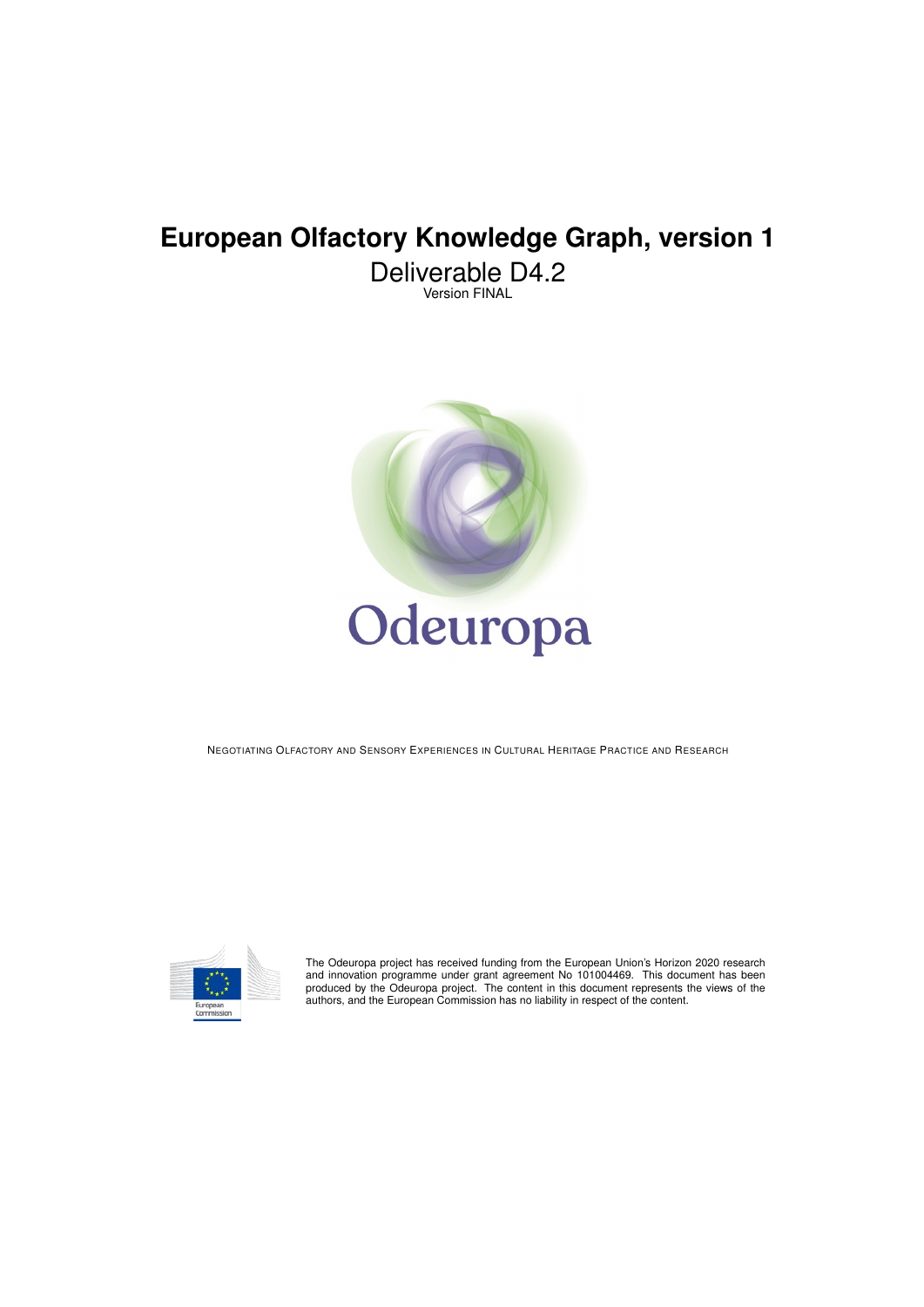# **European Olfactory Knowledge Graph, version 1**

Deliverable D4.2 Version FINAL



NEGOTIATING OLFACTORY AND SENSORY EXPERIENCES IN CULTURAL HERITAGE PRACTICE AND RESEARCH



The Odeuropa project has received funding from the European Union's Horizon 2020 research and innovation programme under grant agreement No 101004469. This document has been produced by the Odeuropa project. The content in this document represents the views of the authors, and the European Commission has no liability in respect of the content.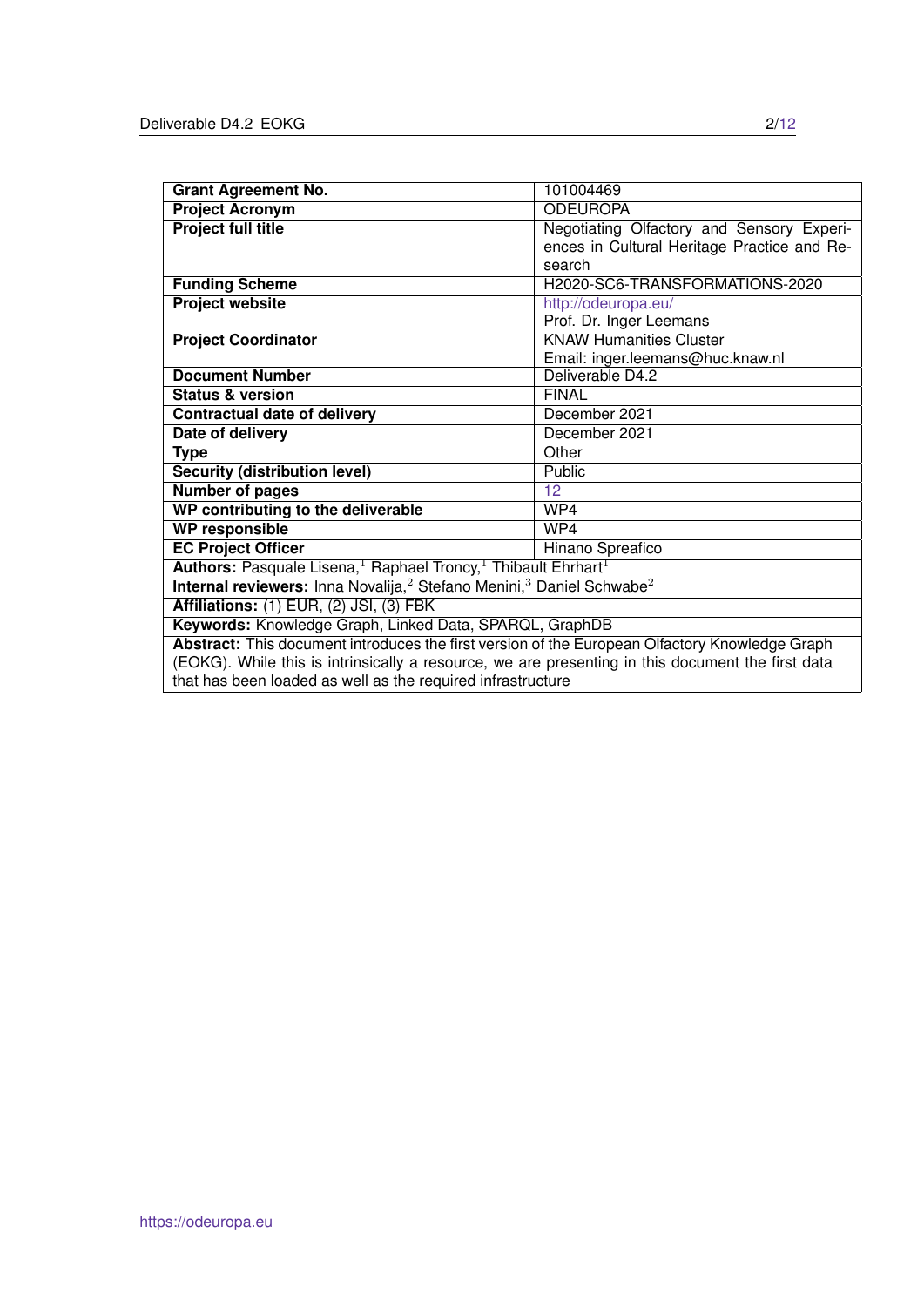| <b>Grant Agreement No.</b>                                                                               | 101004469                                   |  |  |  |  |
|----------------------------------------------------------------------------------------------------------|---------------------------------------------|--|--|--|--|
| <b>Project Acronym</b>                                                                                   | <b>ODEUROPA</b>                             |  |  |  |  |
| <b>Project full title</b>                                                                                | Negotiating Olfactory and Sensory Experi-   |  |  |  |  |
|                                                                                                          | ences in Cultural Heritage Practice and Re- |  |  |  |  |
|                                                                                                          | search                                      |  |  |  |  |
| <b>Funding Scheme</b>                                                                                    | H2020-SC6-TRANSFORMATIONS-2020              |  |  |  |  |
| <b>Project website</b>                                                                                   | http://odeuropa.eu/                         |  |  |  |  |
|                                                                                                          | Prof. Dr. Inger Leemans                     |  |  |  |  |
| <b>Project Coordinator</b>                                                                               | <b>KNAW Humanities Cluster</b>              |  |  |  |  |
|                                                                                                          | Email: inger.leemans@huc.knaw.nl            |  |  |  |  |
| <b>Document Number</b>                                                                                   | Deliverable D4.2                            |  |  |  |  |
| <b>Status &amp; version</b>                                                                              | <b>FINAL</b>                                |  |  |  |  |
| <b>Contractual date of delivery</b>                                                                      | December 2021                               |  |  |  |  |
| Date of delivery                                                                                         | December 2021                               |  |  |  |  |
| <b>Type</b>                                                                                              | Other                                       |  |  |  |  |
| <b>Security (distribution level)</b>                                                                     | Public                                      |  |  |  |  |
| <b>Number of pages</b>                                                                                   | 12                                          |  |  |  |  |
| WP contributing to the deliverable                                                                       | WP4                                         |  |  |  |  |
| <b>WP responsible</b>                                                                                    | WP4                                         |  |  |  |  |
| <b>EC Project Officer</b><br>Hinano Spreafico                                                            |                                             |  |  |  |  |
| Authors: Pasquale Lisena, <sup>1</sup> Raphael Troncy, <sup>1</sup> Thibault Ehrhart <sup>1</sup>        |                                             |  |  |  |  |
| Internal reviewers: Inna Novalija, <sup>2</sup> Stefano Menini, <sup>3</sup> Daniel Schwabe <sup>2</sup> |                                             |  |  |  |  |
| Affiliations: (1) EUR, (2) JSI, (3) FBK                                                                  |                                             |  |  |  |  |
| Keywords: Knowledge Graph, Linked Data, SPARQL, GraphDB                                                  |                                             |  |  |  |  |
| Abstract: This document introduces the first version of the European Olfactory Knowledge Graph           |                                             |  |  |  |  |
| (EOKG). While this is intrinsically a resource, we are presenting in this document the first data        |                                             |  |  |  |  |
| that has been loaded as well as the required infrastructure                                              |                                             |  |  |  |  |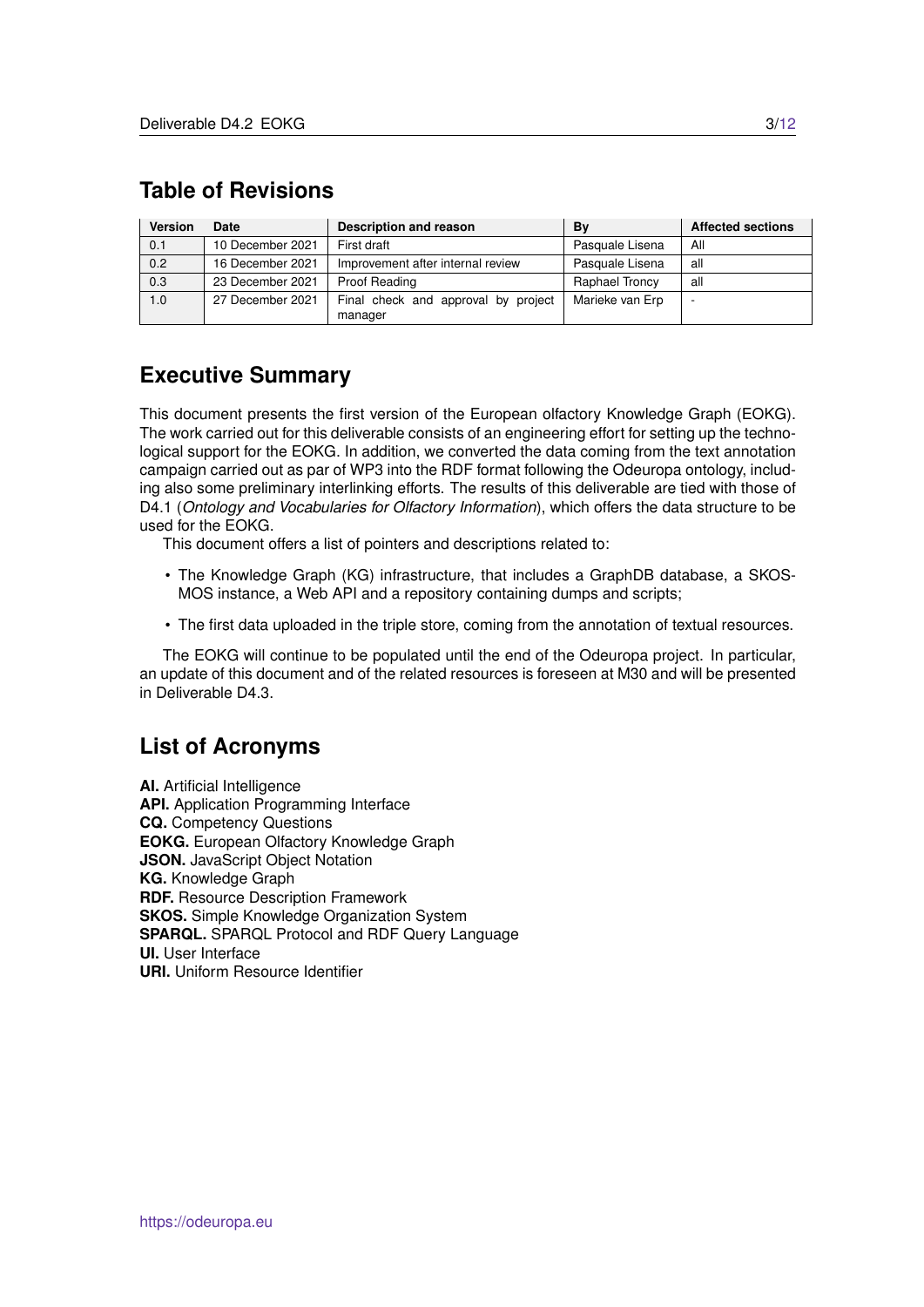# <span id="page-2-0"></span>**Table of Revisions**

| <b>Version</b> | Date             | Description and reason                         | Bv              | <b>Affected sections</b> |
|----------------|------------------|------------------------------------------------|-----------------|--------------------------|
| 0.1            | 10 December 2021 | First draft                                    | Pasquale Lisena | All                      |
| 0.2            | 16 December 2021 | Improvement after internal review              | Pasquale Lisena | all                      |
| 0.3            | 23 December 2021 | Proof Reading                                  | Raphael Troncy  | all                      |
| 1.0            | 27 December 2021 | Final check and approval by project<br>manager | Marieke van Erp |                          |

## **Executive Summary**

This document presents the first version of the European olfactory Knowledge Graph (EOKG). The work carried out for this deliverable consists of an engineering effort for setting up the technological support for the EOKG. In addition, we converted the data coming from the text annotation campaign carried out as par of WP3 into the RDF format following the Odeuropa ontology, including also some preliminary interlinking efforts. The results of this deliverable are tied with those of D4.1 (*Ontology and Vocabularies for Olfactory Information*), which offers the data structure to be used for the EOKG.

This document offers a list of pointers and descriptions related to:

- The Knowledge Graph (KG) infrastructure, that includes a GraphDB database, a SKOS-MOS instance, a Web API and a repository containing dumps and scripts;
- The first data uploaded in the triple store, coming from the annotation of textual resources.

The EOKG will continue to be populated until the end of the Odeuropa project. In particular, an update of this document and of the related resources is foreseen at M30 and will be presented in Deliverable D4.3.

### **List of Acronyms**

**AI.** Artificial Intelligence **API.** Application Programming Interface **CQ.** Competency Questions **EOKG.** European Olfactory Knowledge Graph **JSON.** JavaScript Object Notation **KG.** Knowledge Graph **RDF.** Resource Description Framework **SKOS.** Simple Knowledge Organization System **SPARQL.** SPARQL Protocol and RDF Query Language **UI.** User Interface **URI.** Uniform Resource Identifier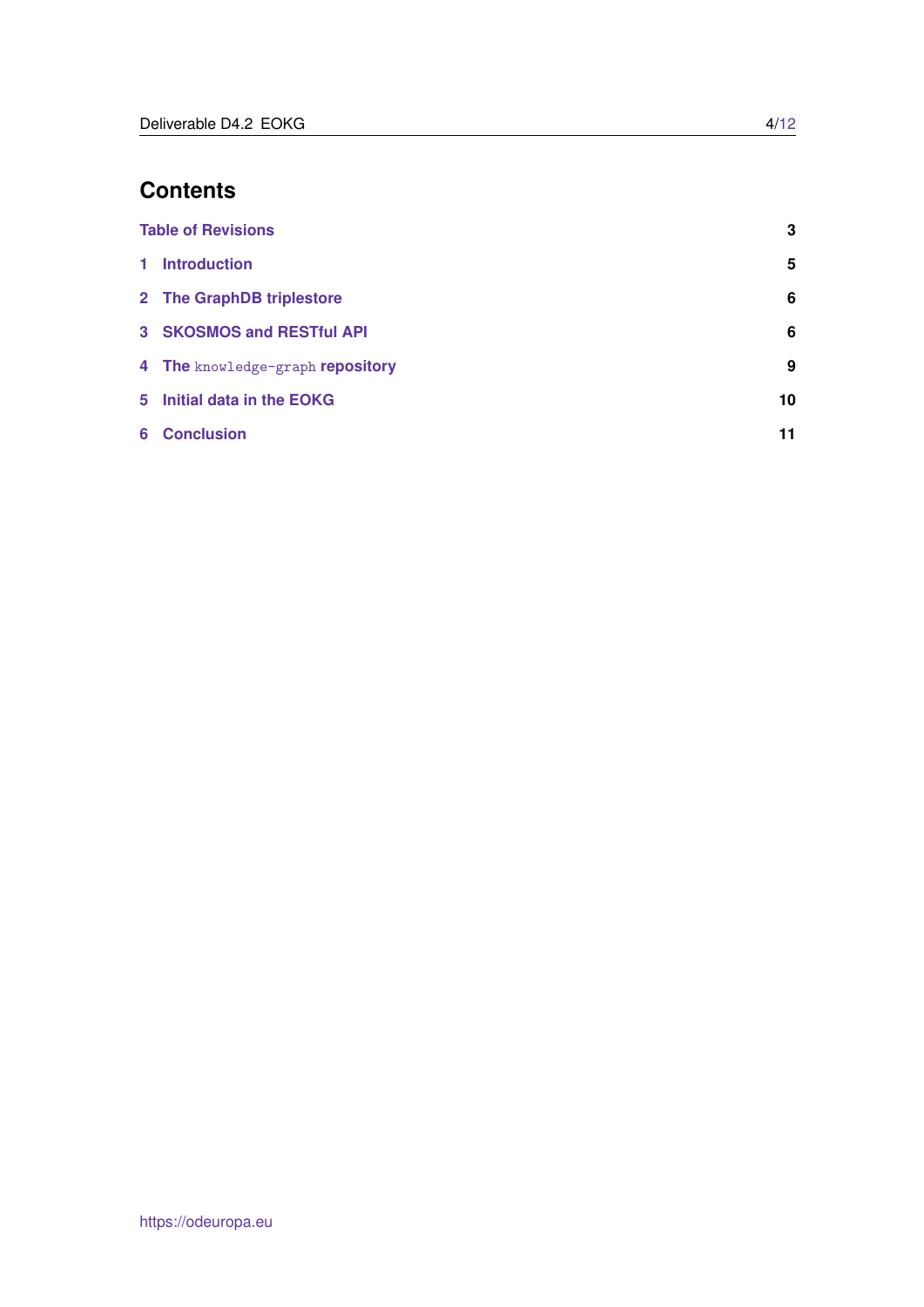# **Contents**

|   | <b>Table of Revisions</b>        | 3  |
|---|----------------------------------|----|
| 1 | <b>Introduction</b>              | 5  |
|   | 2 The GraphDB triplestore        | 6  |
|   | 3 SKOSMOS and RESTful API        | 6  |
|   | 4 The knowledge-graph repository | 9  |
|   | 5 Initial data in the EOKG       | 10 |
|   | <b>6</b> Conclusion              | 11 |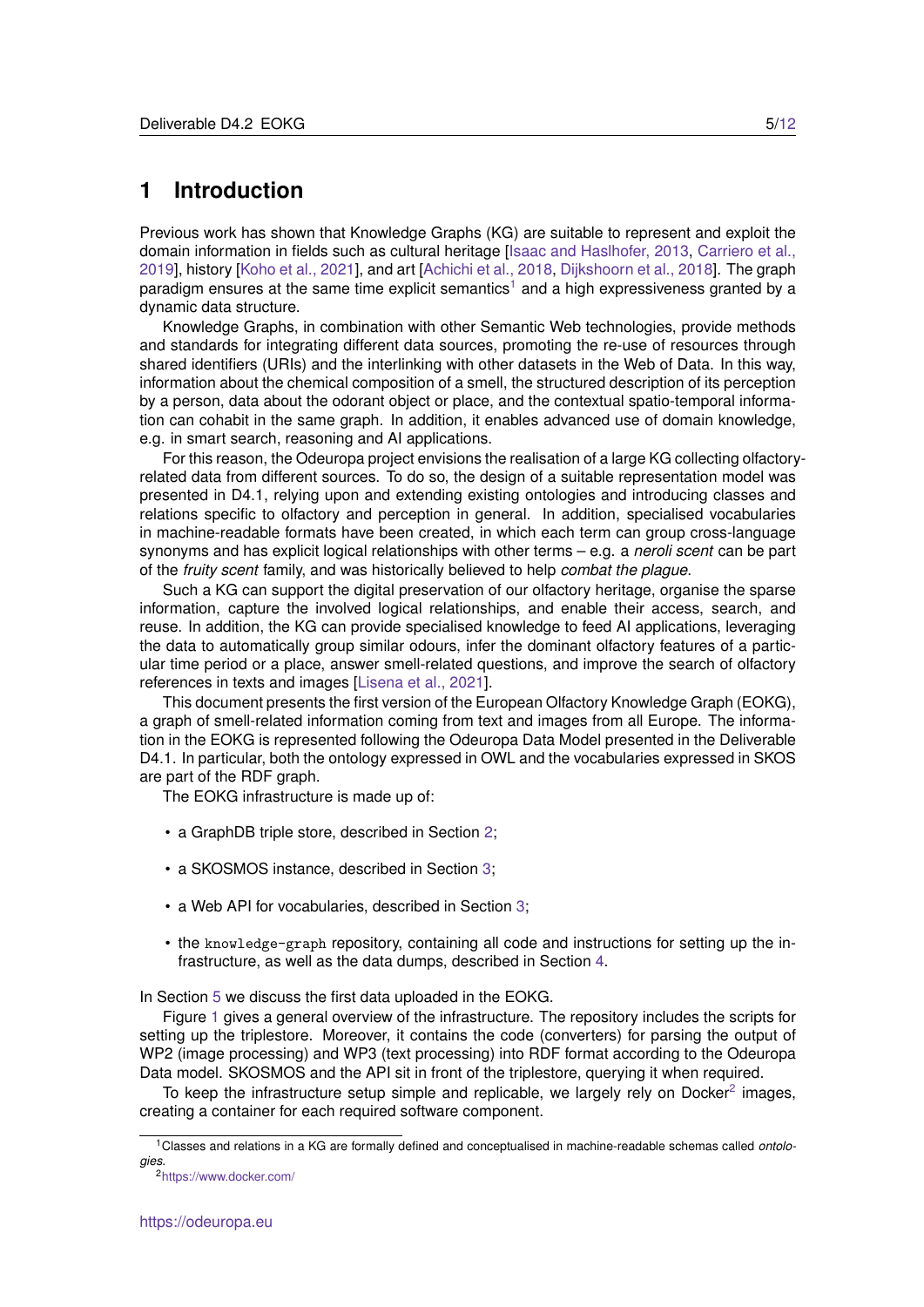#### <span id="page-4-0"></span>**1 Introduction**

Previous work has shown that Knowledge Graphs (KG) are suitable to represent and exploit the domain information in fields such as cultural heritage [\[Isaac and Haslhofer, 2013,](#page-11-1) [Carriero et al.,](#page-10-1) [2019\]](#page-10-1), history [\[Koho et al., 2021\]](#page-11-2), and art [\[Achichi et al., 2018,](#page-10-2) [Dijkshoorn et al., 2018\]](#page-10-3). The graph paradigm ensures at the same time explicit semantics<sup>[1](#page-4-1)</sup> and a high expressiveness granted by a dynamic data structure.

Knowledge Graphs, in combination with other Semantic Web technologies, provide methods and standards for integrating different data sources, promoting the re-use of resources through shared identifiers (URIs) and the interlinking with other datasets in the Web of Data. In this way, information about the chemical composition of a smell, the structured description of its perception by a person, data about the odorant object or place, and the contextual spatio-temporal information can cohabit in the same graph. In addition, it enables advanced use of domain knowledge, e.g. in smart search, reasoning and AI applications.

For this reason, the Odeuropa project envisions the realisation of a large KG collecting olfactoryrelated data from different sources. To do so, the design of a suitable representation model was presented in D4.1, relying upon and extending existing ontologies and introducing classes and relations specific to olfactory and perception in general. In addition, specialised vocabularies in machine-readable formats have been created, in which each term can group cross-language synonyms and has explicit logical relationships with other terms – e.g. a *neroli scent* can be part of the *fruity scent* family, and was historically believed to help *combat the plague*.

Such a KG can support the digital preservation of our olfactory heritage, organise the sparse information, capture the involved logical relationships, and enable their access, search, and reuse. In addition, the KG can provide specialised knowledge to feed AI applications, leveraging the data to automatically group similar odours, infer the dominant olfactory features of a particular time period or a place, answer smell-related questions, and improve the search of olfactory references in texts and images [\[Lisena et al., 2021\]](#page-11-3).

This document presents the first version of the European Olfactory Knowledge Graph (EOKG), a graph of smell-related information coming from text and images from all Europe. The information in the EOKG is represented following the Odeuropa Data Model presented in the Deliverable D4.1. In particular, both the ontology expressed in OWL and the vocabularies expressed in SKOS are part of the RDF graph.

The EOKG infrastructure is made up of:

- a GraphDB triple store, described in Section [2;](#page-5-0)
- a SKOSMOS instance, described in Section [3;](#page-5-1)
- a Web API for vocabularies, described in Section [3;](#page-5-1)
- the knowledge-graph repository, containing all code and instructions for setting up the infrastructure, as well as the data dumps, described in Section [4.](#page-8-0)

In Section [5](#page-9-0) we discuss the first data uploaded in the EOKG.

Figure [1](#page-5-2) gives a general overview of the infrastructure. The repository includes the scripts for setting up the triplestore. Moreover, it contains the code (converters) for parsing the output of WP2 (image processing) and WP3 (text processing) into RDF format according to the Odeuropa Data model. SKOSMOS and the API sit in front of the triplestore, querying it when required.

To keep the infrastructure setup simple and replicable, we largely rely on Docker<sup>[2](#page-4-2)</sup> images, creating a container for each required software component.

<span id="page-4-1"></span><sup>1</sup>Classes and relations in a KG are formally defined and conceptualised in machine-readable schemas called *ontologies*.

<span id="page-4-2"></span><sup>2</sup><https://www.docker.com/>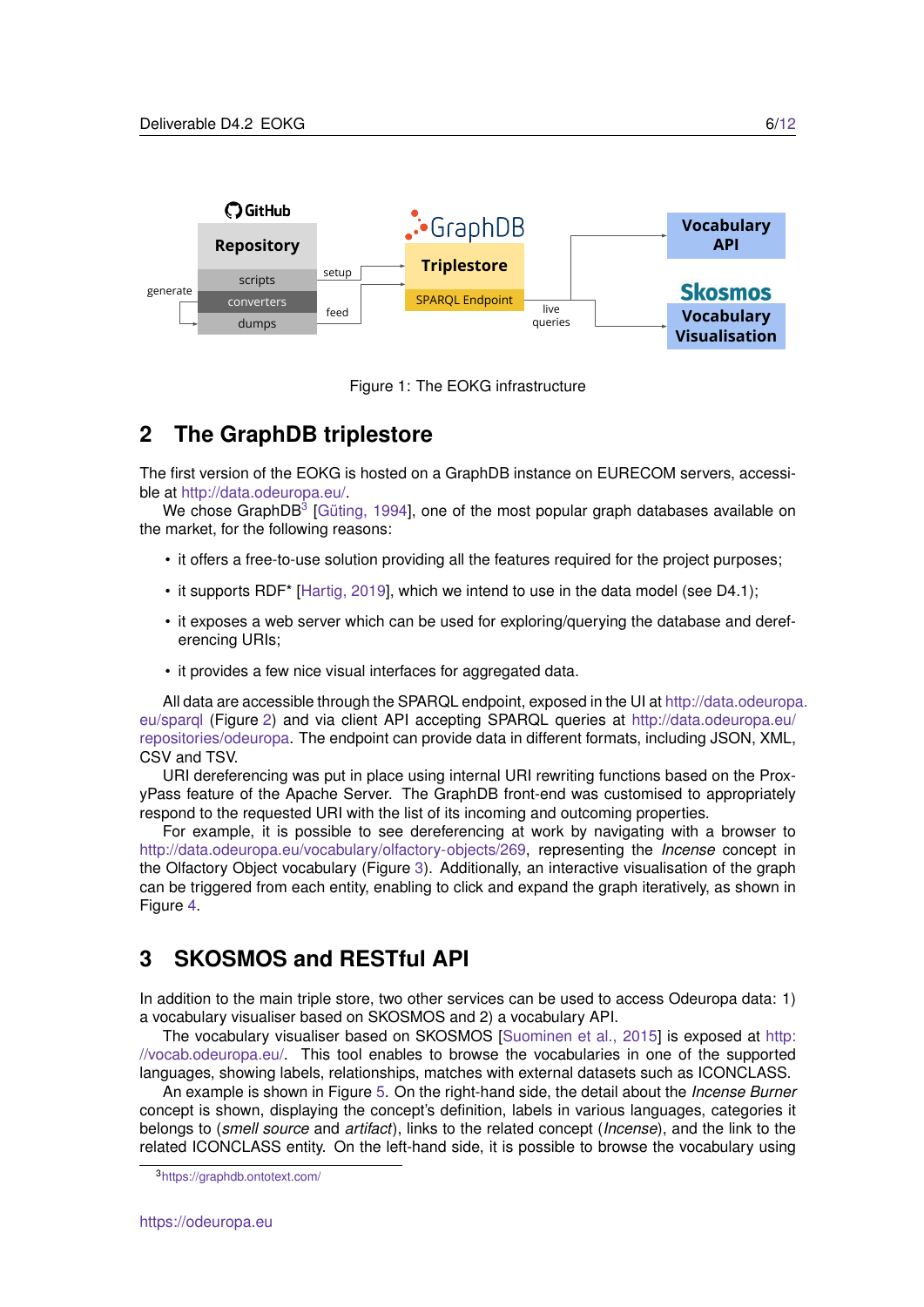

<span id="page-5-2"></span>Figure 1: The EOKG infrastructure

## <span id="page-5-0"></span>**2 The GraphDB triplestore**

The first version of the EOKG is hosted on a GraphDB instance on EURECOM servers, accessible at [http://data.odeuropa.eu/.](http://data.odeuropa.eu/)

We chose GraphDB<sup>[3](#page-5-3)</sup> [Güting, 1994], one of the most popular graph databases available on the market, for the following reasons:

- it offers a free-to-use solution providing all the features required for the project purposes;
- it supports RDF\* [\[Hartig, 2019\]](#page-10-5), which we intend to use in the data model (see D4.1);
- it exposes a web server which can be used for exploring/querying the database and dereferencing URIs;
- it provides a few nice visual interfaces for aggregated data.

All data are accessible through the SPARQL endpoint, exposed in the UI at [http://data.odeuropa](http://data.odeuropa.eu/sparql). [eu/sparql](http://data.odeuropa.eu/sparql) (Figure [2\)](#page-6-0) and via client API accepting SPARQL queries at [http://data.odeuropa.eu/](http://data.odeuropa.eu/repositories/odeuropa) [repositories/odeuropa.](http://data.odeuropa.eu/repositories/odeuropa) The endpoint can provide data in different formats, including JSON, XML, CSV and TSV.

URI dereferencing was put in place using internal URI rewriting functions based on the ProxyPass feature of the Apache Server. The GraphDB front-end was customised to appropriately respond to the requested URI with the list of its incoming and outcoming properties.

For example, it is possible to see dereferencing at work by navigating with a browser to [http://data.odeuropa.eu/vocabulary/olfactory-objects/269,](http://data.odeuropa.eu/vocabulary/olfactory-objects/269) representing the *Incense* concept in the Olfactory Object vocabulary (Figure [3\)](#page-6-1). Additionally, an interactive visualisation of the graph can be triggered from each entity, enabling to click and expand the graph iteratively, as shown in Figure [4.](#page-7-0)

### <span id="page-5-1"></span>**3 SKOSMOS and RESTful API**

In addition to the main triple store, two other services can be used to access Odeuropa data: 1) a vocabulary visualiser based on SKOSMOS and 2) a vocabulary API.

The vocabulary visualiser based on SKOSMOS [\[Suominen et al., 2015\]](#page-11-4) is exposed at [http:](http://vocab.odeuropa.eu/) [//vocab.odeuropa.eu/.](http://vocab.odeuropa.eu/) This tool enables to browse the vocabularies in one of the supported languages, showing labels, relationships, matches with external datasets such as ICONCLASS.

An example is shown in Figure [5.](#page-8-1) On the right-hand side, the detail about the *Incense Burner* concept is shown, displaying the concept's definition, labels in various languages, categories it belongs to (*smell source* and *artifact*), links to the related concept (*Incense*), and the link to the related ICONCLASS entity. On the left-hand side, it is possible to browse the vocabulary using

<span id="page-5-3"></span><sup>3</sup><https://graphdb.ontotext.com/>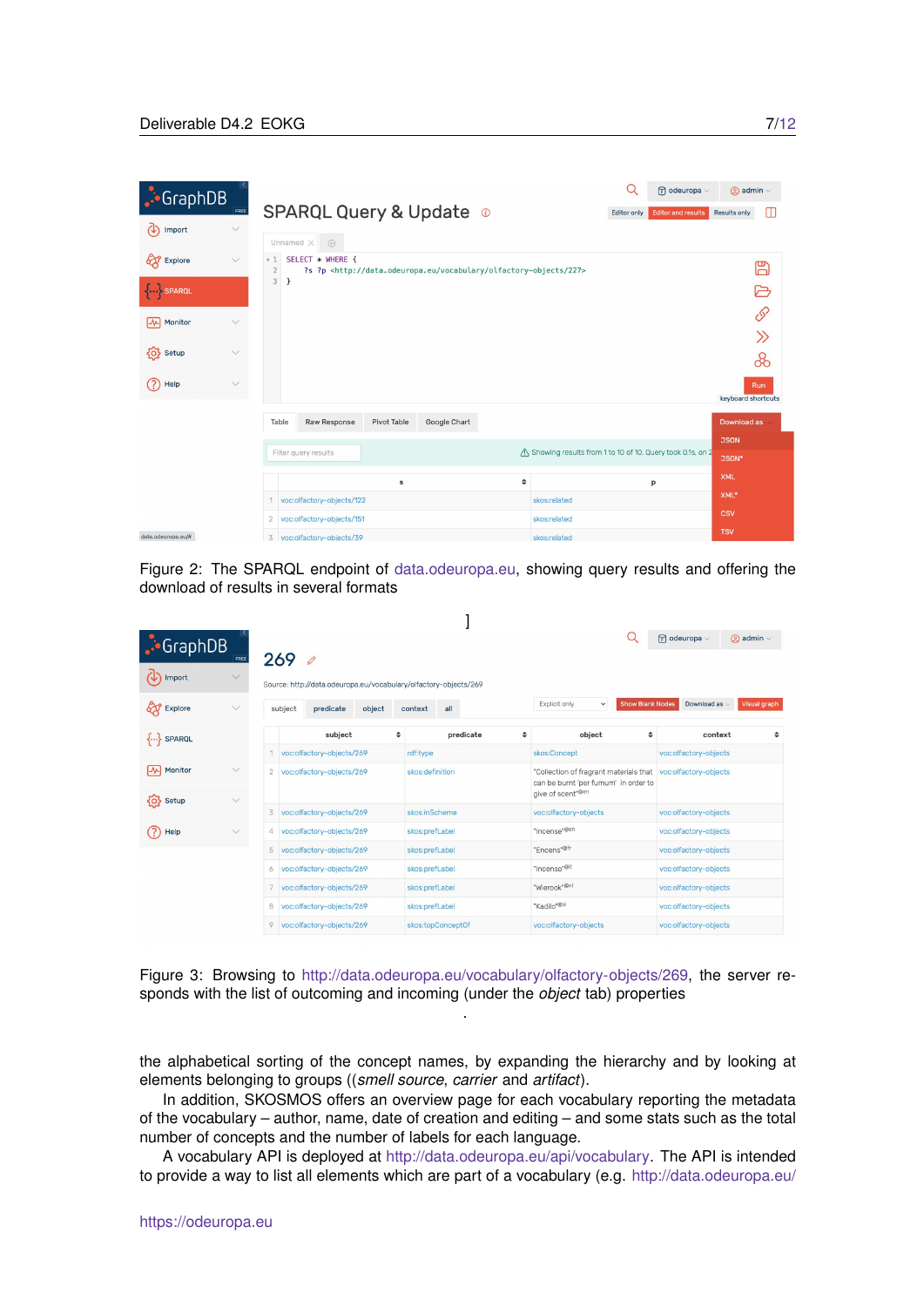| $\cdot$ GraphDB    | FREE         | Q<br>$F$ odeuropa $\vee$<br><b>SPARQL Query &amp; Update ©</b><br><b>Editor and results</b><br>Editor only                                  | $\oslash$ admin $\vee$<br>m<br>Results only |
|--------------------|--------------|---------------------------------------------------------------------------------------------------------------------------------------------|---------------------------------------------|
| (4)<br>Import      | $\checkmark$ | Unnamed X<br>$\oplus$                                                                                                                       |                                             |
| 671<br>Explore     | $\checkmark$ | SELECT * WHERE {<br>v1<br>?s ?p <http: 227="" data.odeuropa.eu="" olfactory-objects="" vocabulary=""><br/><math>\overline{2}</math></http:> | 冏                                           |
| SPARQL             |              | $\overline{3}$<br>ł                                                                                                                         |                                             |
| Monitor<br>网       | $\checkmark$ |                                                                                                                                             | P                                           |
|                    |              |                                                                                                                                             | $\gg$                                       |
| {O} Setup          | $\checkmark$ |                                                                                                                                             | ൿ                                           |
| ?<br>Help          | $\checkmark$ |                                                                                                                                             | Run<br>keyboard shortcuts                   |
|                    |              | Table<br>Raw Response<br><b>Pivot Table</b><br>Google Chart                                                                                 | Download as                                 |
|                    |              | /\ Showing results from 1 to 10 of 10. Query took 0.1s, on 2<br>Filter query results                                                        | <b>JSON</b>                                 |
|                    |              |                                                                                                                                             | JSON*                                       |
|                    |              | ÷<br>s<br>p                                                                                                                                 | <b>XML</b>                                  |
|                    |              | voc:olfactory-objects/122<br>skos:related                                                                                                   | XML*                                        |
|                    |              | voc:olfactory-objects/151<br>$\overline{2}$<br>skos:related                                                                                 | <b>CSV</b>                                  |
| data.odeuropa.eu/# |              | 3 voc:olfactory-objects/39<br>skos:related                                                                                                  | <b>TSV</b>                                  |

<span id="page-6-0"></span>Figure 2: The SPARQL endpoint of [data.odeuropa.eu,](data.odeuropa.eu) showing query results and offering the download of results in several formats

| $\cdot$ GraphDB                     | FREE         |   | 2690                      |                                                                  |        |                 |                   |                                                                                                      |   |                               |                         | $F$ odeuropa $\vee$   | $\oslash$ admin $\vee$ |
|-------------------------------------|--------------|---|---------------------------|------------------------------------------------------------------|--------|-----------------|-------------------|------------------------------------------------------------------------------------------------------|---|-------------------------------|-------------------------|-----------------------|------------------------|
| Import                              | $\checkmark$ |   |                           | Source: http://data.odeuropa.eu/vocabulary/olfactory-objects/269 |        |                 |                   |                                                                                                      |   |                               |                         |                       |                        |
| ଫ<br>Explore                        | $\vee$       |   | subject                   | predicate                                                        | object | context         | all               |                                                                                                      |   | Explicit only<br>$\check{~}$  | <b>Show Blank Nodes</b> | Download as           | Visual graph           |
| $\{ \dots \}$ SPARQL                |              |   |                           | subject                                                          |        | ÷               |                   | predicate                                                                                            | ÷ | object                        | ÷                       | context               | ÷                      |
|                                     |              |   | voc:olfactory-objects/269 |                                                                  |        | rdf:type        |                   | skos:Concept                                                                                         |   | voc:olfactory-objects         |                         |                       |                        |
| $\overline{\mathcal{N}}$<br>Monitor | $\checkmark$ |   | voc:olfactory-objects/269 |                                                                  |        | skos:definition |                   | "Collection of fragrant materials that voc:olfactory-objects<br>can be burnt 'per fumum' in order to |   |                               |                         |                       |                        |
| {O} Setup                           | $\checkmark$ |   |                           |                                                                  |        |                 |                   |                                                                                                      |   | give of scent <sup>*@en</sup> |                         |                       |                        |
|                                     |              | 3 |                           | voc:olfactory-objects/269                                        |        |                 | skos:inScheme     |                                                                                                      |   | voc:olfactory-objects         |                         | voc:olfactory-objects |                        |
| (?)<br>Help                         | $\checkmark$ | 4 |                           | voc:olfactory-objects/269                                        |        |                 | skos:prefLabel    |                                                                                                      |   | "Incense" <sup>@en</sup>      |                         | voc:olfactory-objects |                        |
|                                     |              | 5 |                           | voc:olfactory-objects/269                                        |        |                 | skos:prefLabel    |                                                                                                      |   | "Encens" <sup>@fr</sup>       |                         | voc:olfactory-objects |                        |
|                                     |              | 6 |                           | voc:olfactory-objects/269                                        |        |                 | skos:prefLabel    |                                                                                                      |   | "Incenso" <sup>@it</sup>      |                         | voc:olfactory-objects |                        |
|                                     |              |   |                           | voc:olfactory-objects/269                                        |        |                 | skos:prefLabel    |                                                                                                      |   | "Wierook" <sup>@nl</sup>      |                         | voc:olfactory-objects |                        |
|                                     |              | 8 |                           | voc:olfactory-objects/269                                        |        |                 | skos:prefLabel    |                                                                                                      |   | "Kadilo"®sl                   |                         | voc:olfactory-objects |                        |
|                                     |              | 9 |                           | voc:olfactory-objects/269                                        |        |                 | skos:topConceptOf |                                                                                                      |   | voc:olfactory-objects         |                         | voc:olfactory-objects |                        |

<span id="page-6-1"></span>Figure 3: Browsing to [http://data.odeuropa.eu/vocabulary/olfactory-objects/269,](http://data.odeuropa.eu/vocabulary/olfactory-objects/269) the server responds with the list of outcoming and incoming (under the *object* tab) properties .

the alphabetical sorting of the concept names, by expanding the hierarchy and by looking at elements belonging to groups ((*smell source*, *carrier* and *artifact*).

In addition, SKOSMOS offers an overview page for each vocabulary reporting the metadata of the vocabulary – author, name, date of creation and editing – and some stats such as the total number of concepts and the number of labels for each language.

A vocabulary API is deployed at [http://data.odeuropa.eu/api/vocabulary.](http://data.odeuropa.eu/api/vocabulary) The API is intended to provide a way to list all elements which are part of a vocabulary (e.g. [http://data.odeuropa.eu/](http://data.odeuropa.eu/api/vocabulary/olfactory-objects)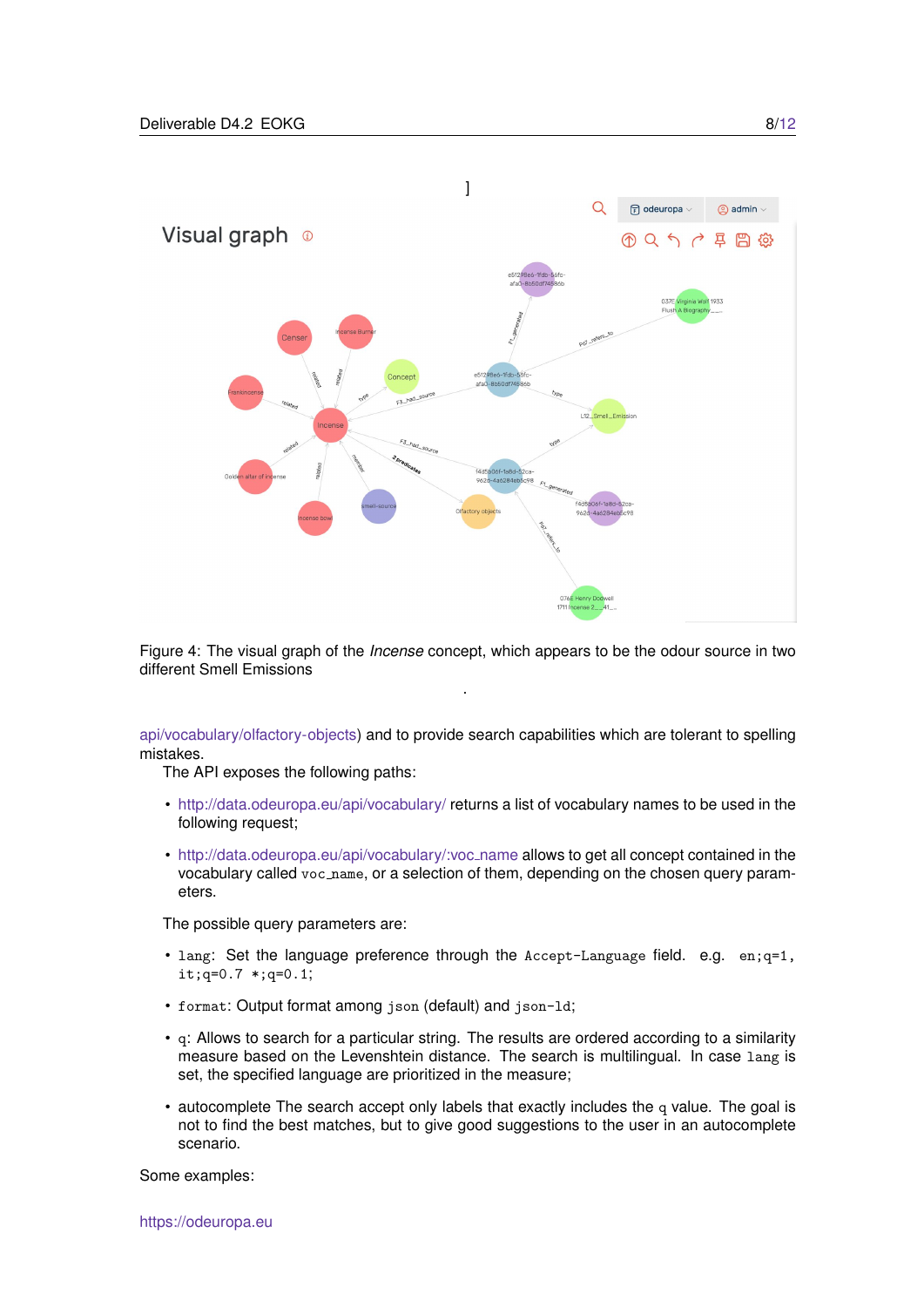

<span id="page-7-0"></span>Figure 4: The visual graph of the *Incense* concept, which appears to be the odour source in two different Smell Emissions .

[api/vocabulary/olfactory-objects\)](http://data.odeuropa.eu/api/vocabulary/olfactory-objects) and to provide search capabilities which are tolerant to spelling mistakes.

The API exposes the following paths:

- <http://data.odeuropa.eu/api/vocabulary/> returns a list of vocabulary names to be used in the following request;
- [http://data.odeuropa.eu/api/vocabulary/:voc](http://data.odeuropa.eu/api/vocabulary/:voc_name) name allows to get all concept contained in the vocabulary called voc name, or a selection of them, depending on the chosen query parameters.

The possible query parameters are:

- lang: Set the language preference through the  $Accept$ -Language field. e.g. en; $q=1$ , it;q=0.7 \*;q=0.1;
- format: Output format among json (default) and json-ld;
- q: Allows to search for a particular string. The results are ordered according to a similarity measure based on the Levenshtein distance. The search is multilingual. In case lang is set, the specified language are prioritized in the measure;
- autocomplete The search accept only labels that exactly includes the q value. The goal is not to find the best matches, but to give good suggestions to the user in an autocomplete scenario.

Some examples: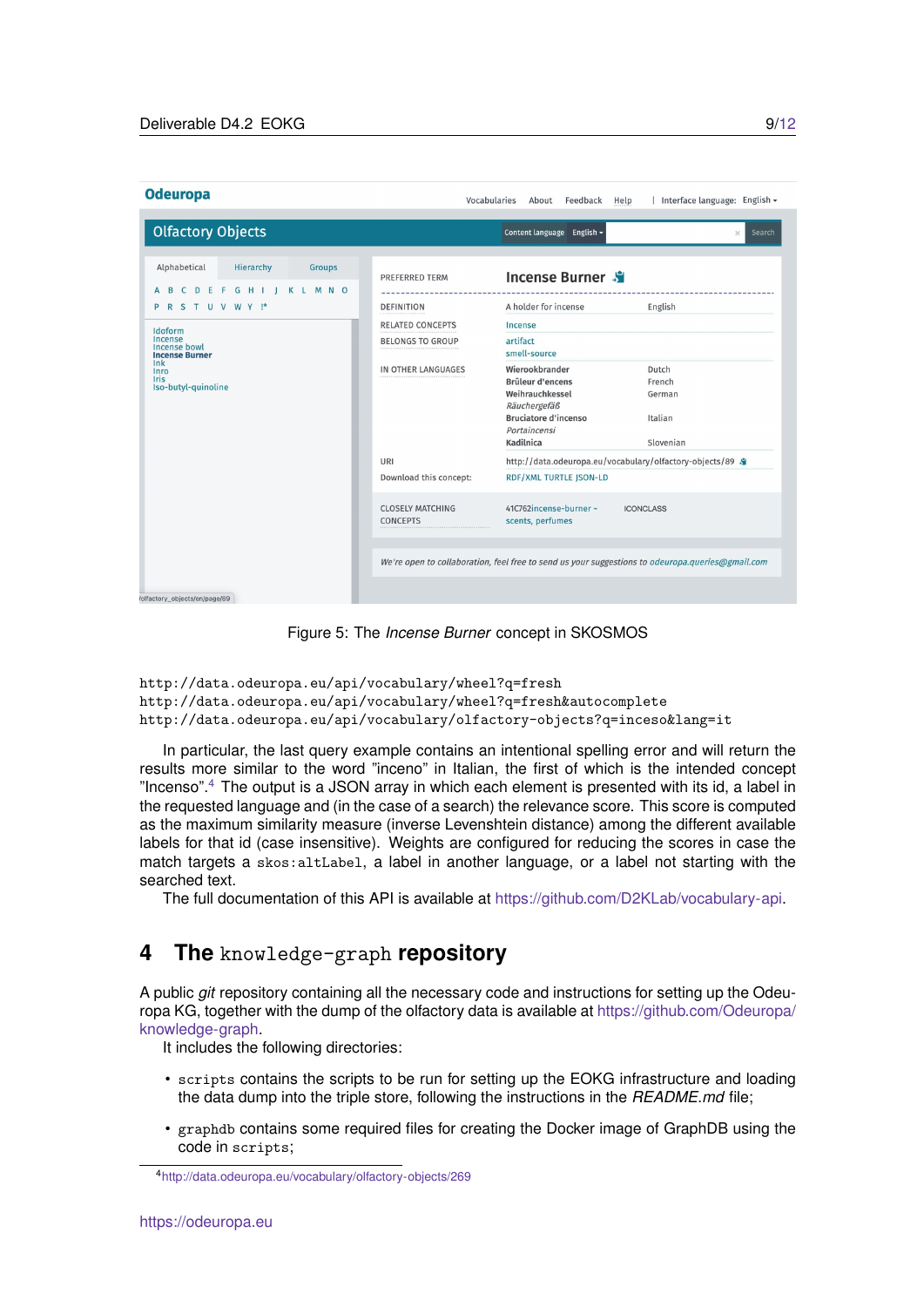| <b>Odeuropa</b>                                                                                                                                                                                                                 | Vocabularies<br>  Interface language: English ▼<br>About Feedback<br>Help                                                                                                                                                                                                                                                                                                                                                                                                                                                                                                                                                                                                                                                                            |
|---------------------------------------------------------------------------------------------------------------------------------------------------------------------------------------------------------------------------------|------------------------------------------------------------------------------------------------------------------------------------------------------------------------------------------------------------------------------------------------------------------------------------------------------------------------------------------------------------------------------------------------------------------------------------------------------------------------------------------------------------------------------------------------------------------------------------------------------------------------------------------------------------------------------------------------------------------------------------------------------|
| <b>Olfactory Objects</b>                                                                                                                                                                                                        | Content language English -<br>Search<br>$\times$                                                                                                                                                                                                                                                                                                                                                                                                                                                                                                                                                                                                                                                                                                     |
| Alphabetical<br>Hierarchy<br><b>Groups</b><br><b>GHII</b><br><b>KLMNO</b><br>D E<br>- F<br>- C<br>R S T U V W Y !*<br>Idoform<br>Incense<br>Incense bowl<br><b>Incense Burner</b><br>lnk<br>Inro<br>Iris<br>Iso-butyl-quinoline | Incense Burner<br>PREFERRED TERM<br>A holder for incense<br>English<br><b>DEFINITION</b><br><b>RELATED CONCEPTS</b><br>Incense<br>artifact<br><b>BELONGS TO GROUP</b><br><br>smell-source<br>Wierookbrander<br>Dutch<br>IN OTHER LANGUAGES<br>Brûleur d'encens<br>French<br>Weihrauchkessel<br>German<br>Räuchergefäß<br><b>Bruciatore d'incenso</b><br>Italian<br>Portaincensi<br>Kadilnica<br>Slovenian<br>http://data.odeuropa.eu/vocabulary/olfactory-objects/89 .<br>URI<br>RDF/XML TURTLE JSON-LD<br>Download this concept:<br>41C762incense-burner~<br><b>CLOSELY MATCHING</b><br><b>ICONCLASS</b><br><b>CONCEPTS</b><br>scents, perfumes<br>We're open to collaboration, feel free to send us your suggestions to odeuropa.queries@gmail.com |
| /olfactory_objects/en/page/89                                                                                                                                                                                                   |                                                                                                                                                                                                                                                                                                                                                                                                                                                                                                                                                                                                                                                                                                                                                      |

<span id="page-8-1"></span>Figure 5: The *Incense Burner* concept in SKOSMOS

```
http://data.odeuropa.eu/api/vocabulary/wheel?q=fresh
http://data.odeuropa.eu/api/vocabulary/wheel?q=fresh&autocomplete
http://data.odeuropa.eu/api/vocabulary/olfactory-objects?q=inceso&lang=it
```
In particular, the last query example contains an intentional spelling error and will return the results more similar to the word "inceno" in Italian, the first of which is the intended concept "Incenso".[4](#page-8-2) The output is a JSON array in which each element is presented with its id, a label in the requested language and (in the case of a search) the relevance score. This score is computed as the maximum similarity measure (inverse Levenshtein distance) among the different available labels for that id (case insensitive). Weights are configured for reducing the scores in case the match targets a skos:altLabel, a label in another language, or a label not starting with the searched text.

The full documentation of this API is available at [https://github.com/D2KLab/vocabulary-api.](https://github.com/D2KLab/vocabulary-api)

#### <span id="page-8-0"></span>**4 The** knowledge-graph **repository**

A public *git* repository containing all the necessary code and instructions for setting up the Odeuropa KG, together with the dump of the olfactory data is available at [https://github.com/Odeuropa/](https://github.com/Odeuropa/knowledge-graph) [knowledge-graph.](https://github.com/Odeuropa/knowledge-graph)

It includes the following directories:

- scripts contains the scripts to be run for setting up the EOKG infrastructure and loading the data dump into the triple store, following the instructions in the *README.md* file;
- graphdb contains some required files for creating the Docker image of GraphDB using the code in scripts;

<span id="page-8-2"></span><sup>4</sup><http://data.odeuropa.eu/vocabulary/olfactory-objects/269>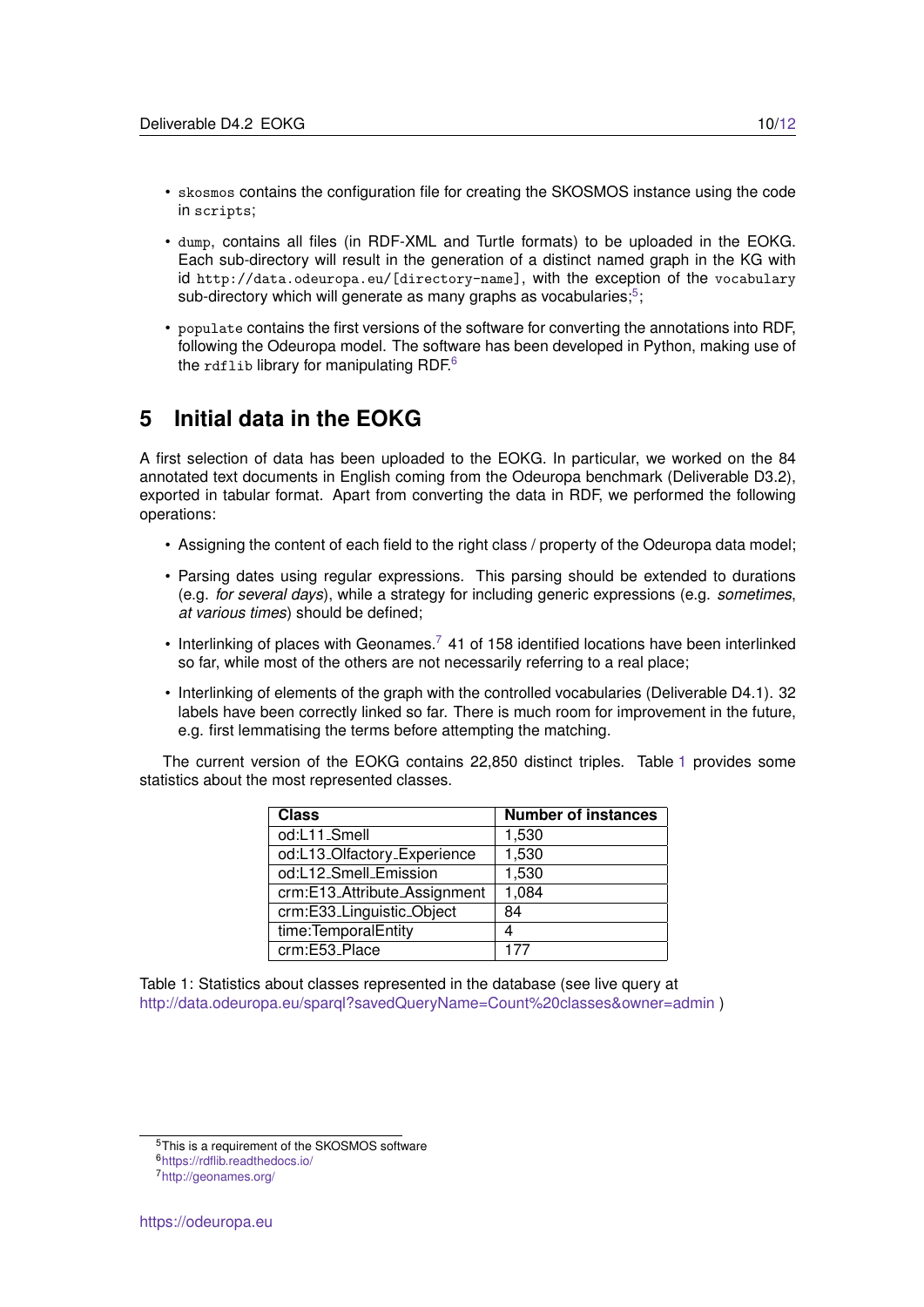- skosmos contains the configuration file for creating the SKOSMOS instance using the code in scripts;
- dump, contains all files (in RDF-XML and Turtle formats) to be uploaded in the EOKG. Each sub-directory will result in the generation of a distinct named graph in the KG with id http://data.odeuropa.eu/[directory-name], with the exception of the vocabulary sub-directory which will generate as many graphs as vocabularies;<sup>[5](#page-9-1)</sup>;
- populate contains the first versions of the software for converting the annotations into RDF, following the Odeuropa model. The software has been developed in Python, making use of the rdflib library for manipulating RDF.<sup>[6](#page-9-2)</sup>

### <span id="page-9-0"></span>**5 Initial data in the EOKG**

A first selection of data has been uploaded to the EOKG. In particular, we worked on the 84 annotated text documents in English coming from the Odeuropa benchmark (Deliverable D3.2), exported in tabular format. Apart from converting the data in RDF, we performed the following operations:

- Assigning the content of each field to the right class / property of the Odeuropa data model;
- Parsing dates using regular expressions. This parsing should be extended to durations (e.g. *for several days*), while a strategy for including generic expressions (e.g. *sometimes*, *at various times*) should be defined;
- Interlinking of places with Geonames.<sup>[7](#page-9-3)</sup> 41 of 158 identified locations have been interlinked so far, while most of the others are not necessarily referring to a real place;
- Interlinking of elements of the graph with the controlled vocabularies (Deliverable D4.1). 32 labels have been correctly linked so far. There is much room for improvement in the future, e.g. first lemmatising the terms before attempting the matching.

The current version of the EOKG contains 22,850 distinct triples. Table [1](#page-9-4) provides some statistics about the most represented classes.

| <b>Class</b>                 | <b>Number of instances</b> |
|------------------------------|----------------------------|
| od:L11_Smell                 | 1,530                      |
| od:L13_Olfactory_Experience  | 1,530                      |
| od:L12_Smell_Emission        | 1,530                      |
| crm:E13_Attribute_Assignment | 1,084                      |
| crm:E33_Linguistic_Object    | 84                         |
| time: Temporal Entity        |                            |
| crm:E53_Place                | 177                        |

<span id="page-9-4"></span>Table 1: Statistics about classes represented in the database (see live query at <http://data.odeuropa.eu/sparql?savedQueryName=Count%20classes&owner=admin> )

<span id="page-9-1"></span><sup>5</sup>This is a requirement of the SKOSMOS software

<span id="page-9-2"></span><sup>6</sup><https://rdflib.readthedocs.io/>

<span id="page-9-3"></span><sup>7</sup><http://geonames.org/>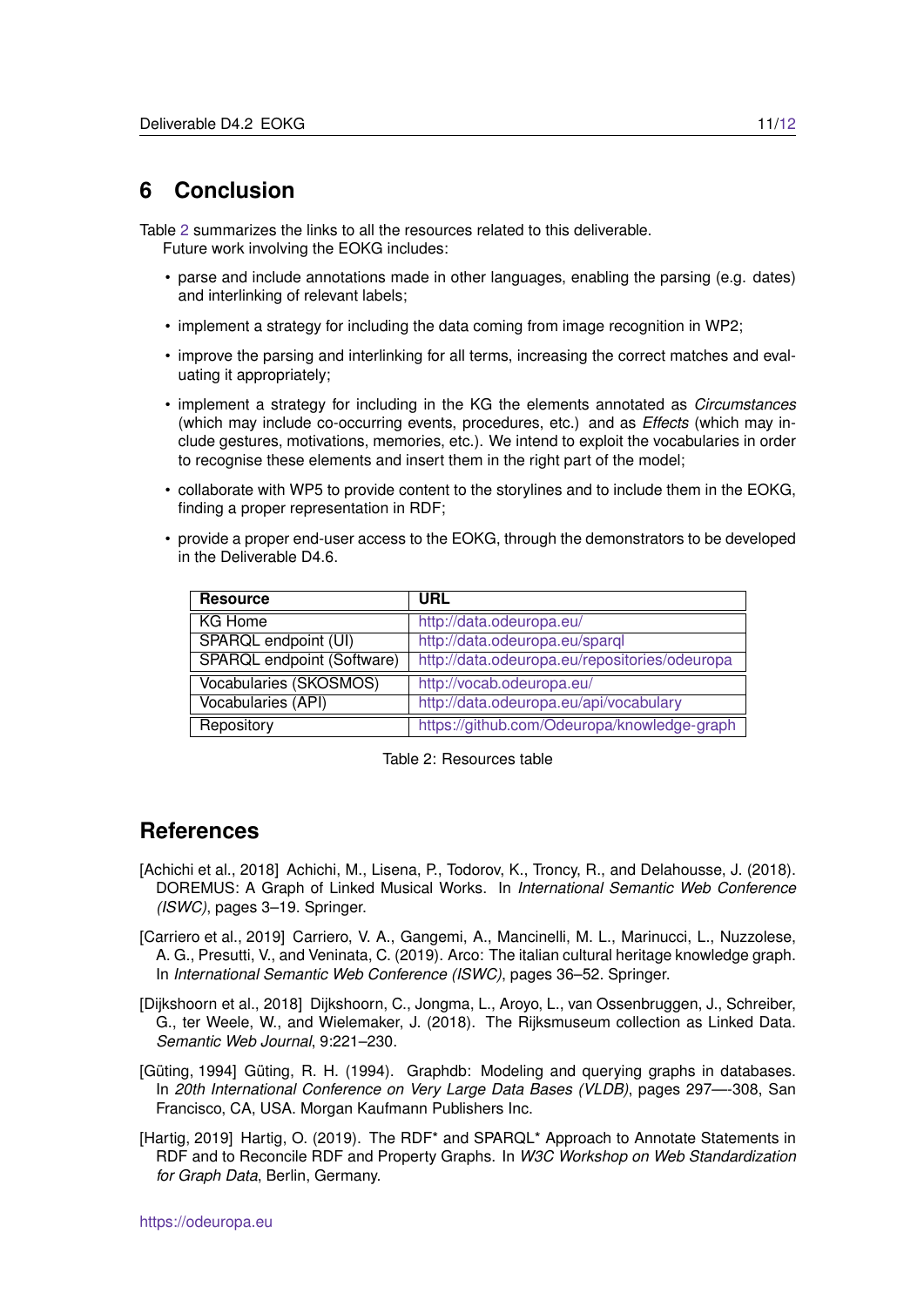## <span id="page-10-0"></span>**6 Conclusion**

Table [2](#page-10-6) summarizes the links to all the resources related to this deliverable. Future work involving the EOKG includes:

- parse and include annotations made in other languages, enabling the parsing (e.g. dates) and interlinking of relevant labels;
- implement a strategy for including the data coming from image recognition in WP2;
- improve the parsing and interlinking for all terms, increasing the correct matches and evaluating it appropriately;
- implement a strategy for including in the KG the elements annotated as *Circumstances* (which may include co-occurring events, procedures, etc.) and as *Effects* (which may include gestures, motivations, memories, etc.). We intend to exploit the vocabularies in order to recognise these elements and insert them in the right part of the model;
- collaborate with WP5 to provide content to the storylines and to include them in the EOKG, finding a proper representation in RDF;
- provide a proper end-user access to the EOKG, through the demonstrators to be developed in the Deliverable D4.6.

| <b>Resource</b>                   | <b>URL</b>                                    |
|-----------------------------------|-----------------------------------------------|
| KG Home                           | http://data.odeuropa.eu/                      |
| SPARQL endpoint (UI)              | http://data.odeuropa.eu/sparql                |
| <b>SPARQL</b> endpoint (Software) | http://data.odeuropa.eu/repositories/odeuropa |
| Vocabularies (SKOSMOS)            | http://vocab.odeuropa.eu/                     |
| Vocabularies (API)                | http://data.odeuropa.eu/api/vocabulary        |
| Repository                        | https://github.com/Odeuropa/knowledge-graph   |

<span id="page-10-6"></span>Table 2: Resources table

#### **References**

- <span id="page-10-2"></span>[Achichi et al., 2018] Achichi, M., Lisena, P., Todorov, K., Troncy, R., and Delahousse, J. (2018). DOREMUS: A Graph of Linked Musical Works. In *International Semantic Web Conference (ISWC)*, pages 3–19. Springer.
- <span id="page-10-1"></span>[Carriero et al., 2019] Carriero, V. A., Gangemi, A., Mancinelli, M. L., Marinucci, L., Nuzzolese, A. G., Presutti, V., and Veninata, C. (2019). Arco: The italian cultural heritage knowledge graph. In *International Semantic Web Conference (ISWC)*, pages 36–52. Springer.
- <span id="page-10-3"></span>[Dijkshoorn et al., 2018] Dijkshoorn, C., Jongma, L., Aroyo, L., van Ossenbruggen, J., Schreiber, G., ter Weele, W., and Wielemaker, J. (2018). The Rijksmuseum collection as Linked Data. *Semantic Web Journal*, 9:221–230.
- <span id="page-10-4"></span>[Güting, 1994] Güting, R. H. (1994). Graphdb: Modeling and querying graphs in databases. In *20th International Conference on Very Large Data Bases (VLDB)*, pages 297—-308, San Francisco, CA, USA. Morgan Kaufmann Publishers Inc.
- <span id="page-10-5"></span>[Hartig, 2019] Hartig, O. (2019). The RDF\* and SPARQL\* Approach to Annotate Statements in RDF and to Reconcile RDF and Property Graphs. In *W3C Workshop on Web Standardization for Graph Data*, Berlin, Germany.